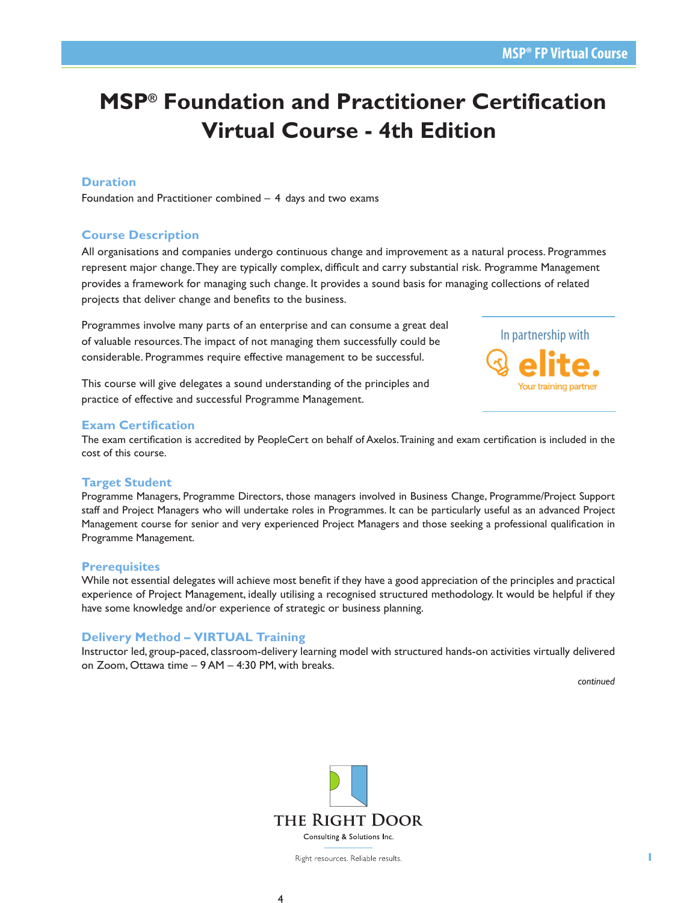# **MSP® Foundation and Practitioner Certification Virtual Course - 4th Edition**

# **Duration**

Foundation and Practitioner combined – 4 days and two exams

# **Course Description**

All organisations and companies undergo continuous change and improvement as a natural process. Programmes represent major change.They are typically complex, difficult and carry substantial risk. Programme Management provides a framework for managing such change. It provides a sound basis for managing collections of related projects that deliver change and benefits to the business.

Programmes involve many parts of an enterprise and can consume a great deal of valuable resources. The impact of not managing them successfully could be considerable. Programmes require effective management to be successful.



This course will give delegates a sound understanding of the principles and practice of effective and successful Programme Management.

#### **Exam Certification**

The exam certification is accredited by PeopleCert on behalf of Axelos. Training and exam certification is included in the cost of this course.

## **Target Student**

Programme Managers, Programme Directors, those managers involved in Business Change, Programme/Project Support staff and Project Managers who will undertake roles in Programmes. It can be particularly useful as an advanced Project Management course for senior and very experienced Project Managers and those seeking a professional qualification in Programme Management.

#### **Prerequisites**

While not essential delegates will achieve most benefit if they have a good appreciation of the principles and practical experience of Project Management, ideally utilising a recognised structured methodology. It would be helpful if they have some knowledge and/or experience of strategic or business planning.

## **Delivery Method – VIRTUAL Training**

Instructor led, group-paced, classroom-delivery learning model with structured hands-on activities virtually delivered on Zoom, Ottawa time – 9 AM – 4:30 PM, with breaks.

*continued*



Right resources. Reliable results.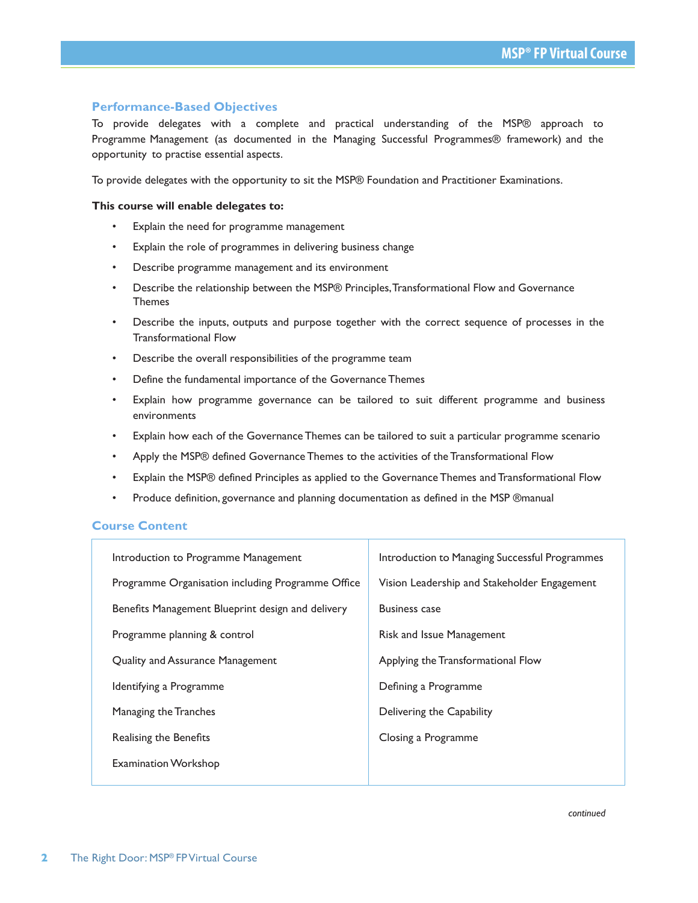# **Performance-Based Objectives**

To provide delegates with a complete and practical understanding of the MSP® approach to Programme Management (as documented in the Managing Successful Programmes® framework) and the opportunity to practise essential aspects.

To provide delegates with the opportunity to sit the MSP® Foundation and Practitioner Examinations.

#### **This course will enable delegates to:**

- Explain the need for programme management
- Explain the role of programmes in delivering business change
- Describe programme management and its environment
- Describe the relationship between the MSP® Principles, Transformational Flow and Governance Themes
- Describe the inputs, outputs and purpose together with the correct sequence of processes in the Transformational Flow
- Describe the overall responsibilities of the programme team
- Define the fundamental importance of the Governance Themes
- Explain how programme governance can be tailored to suit different programme and business environments
- Explain how each of the Governance Themes can be tailored to suit a particular programme scenario
- Apply the MSP® defined Governance Themes to the activities of the Transformational Flow
- Explain the MSP® defined Principles as applied to the Governance Themes and Transformational Flow
- Produce definition, governance and planning documentation as defined in the MSP ®manual

## **Course Content**

| Introduction to Programme Management              | Introduction to Managing Successful Programmes |
|---------------------------------------------------|------------------------------------------------|
| Programme Organisation including Programme Office | Vision Leadership and Stakeholder Engagement   |
| Benefits Management Blueprint design and delivery | <b>Business case</b>                           |
| Programme planning & control                      | Risk and Issue Management                      |
| Quality and Assurance Management                  | Applying the Transformational Flow             |
| Identifying a Programme                           | Defining a Programme                           |
| Managing the Tranches                             | Delivering the Capability                      |
| Realising the Benefits                            | Closing a Programme                            |
| <b>Examination Workshop</b>                       |                                                |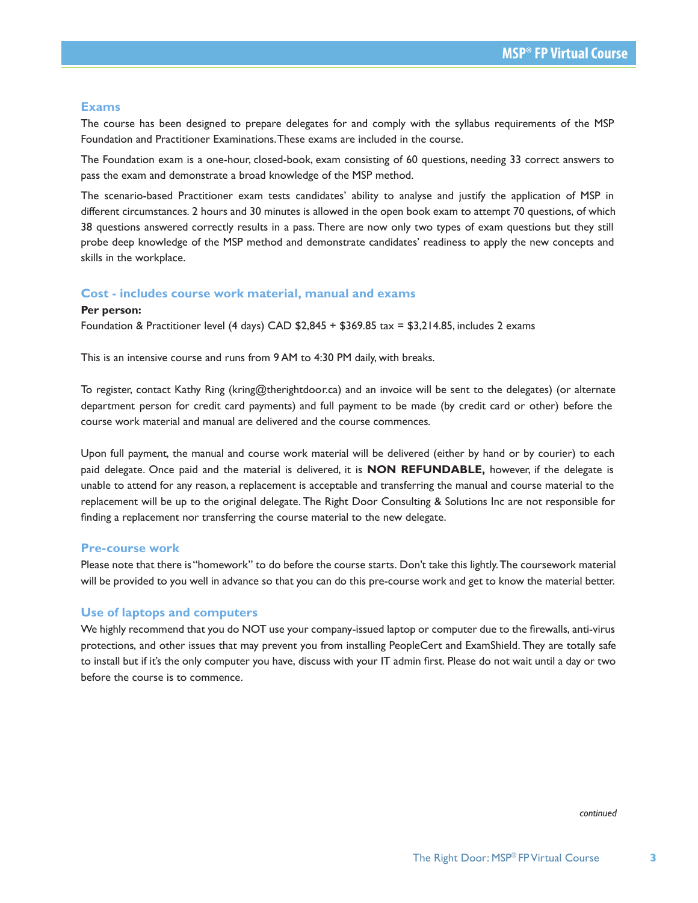# **Exams**

The course has been designed to prepare delegates for and comply with the syllabus requirements of the MSP Foundation and Practitioner Examinations. These exams are included in the course.

The Foundation exam is a one-hour, closed-book, exam consisting of 60 questions, needing 33 correct answers to pass the exam and demonstrate a broad knowledge of the MSP method.

The scenario-based Practitioner exam tests candidates' ability to analyse and justify the application of MSP in different circumstances. 2 hours and 30 minutes is allowed in the open book exam to attempt 70 questions, of which 38 questions answered correctly results in a pass. There are now only two types of exam questions but they still probe deep knowledge of the MSP method and demonstrate candidates' readiness to apply the new concepts and skills in the workplace.

#### **Cost - includes course work material, manual and exams**

#### **Per person:**

Foundation & Practitioner level (4 days) CAD \$2,845 + \$369.85 tax = \$3,214.85, includes 2 exams

This is an intensive course and runs from 9 AM to 4:30 PM daily, with breaks.

To register, contact Kathy Ring (kring@therightdoor.ca) and an invoice will be sent to the delegates) (or alternate department person for credit card payments) and full payment to be made (by credit card or other) before the course work material and manual are delivered and the course commences.

Upon full payment, the manual and course work material will be delivered (either by hand or by courier) to each paid delegate. Once paid and the material is delivered, it is **NON REFUNDABLE,** however, if the delegate is unable to attend for any reason, a replacement is acceptable and transferring the manual and course material to the replacement will be up to the original delegate. The Right Door Consulting & Solutions Inc are not responsible for finding a replacement nor transferring the course material to the new delegate.

#### **Pre-course work**

Please note that there is "homework" to do before the course starts. Don't take this lightly. The coursework material will be provided to you well in advance so that you can do this pre-course work and get to know the material better.

#### **Use of laptops and computers**

We highly recommend that you do NOT use your company-issued laptop or computer due to the firewalls, anti-virus protections, and other issues that may prevent you from installing PeopleCert and ExamShield. They are totally safe to install but if it's the only computer you have, discuss with your IT admin first. Please do not wait until a day or two before the course is to commence.

*continued*